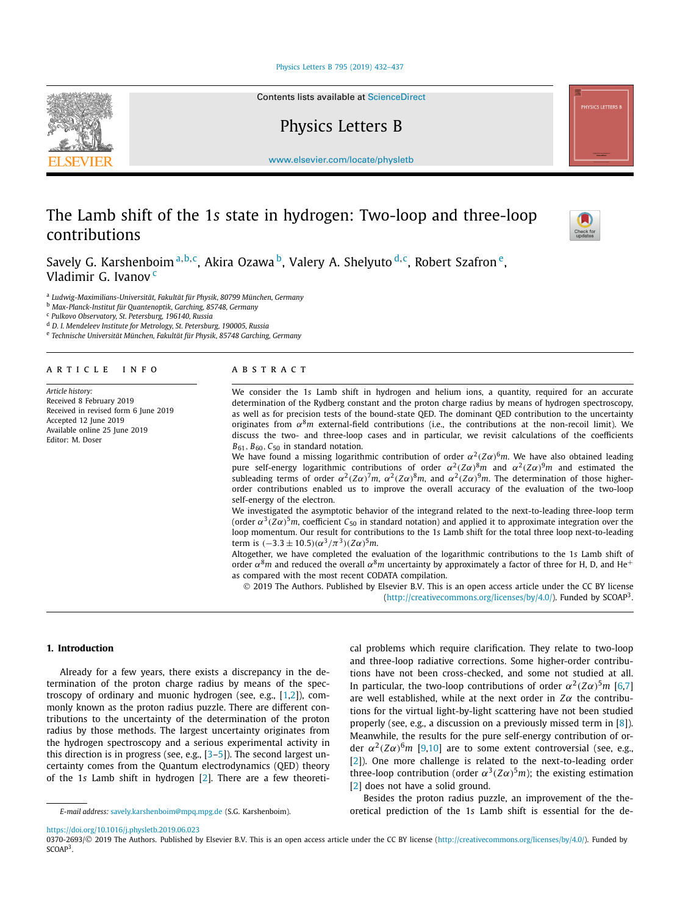#### [Physics Letters B 795 \(2019\) 432–437](https://doi.org/10.1016/j.physletb.2019.06.023)

Contents lists available at [ScienceDirect](http://www.ScienceDirect.com/)

Physics Letters B

[www.elsevier.com/locate/physletb](http://www.elsevier.com/locate/physletb)

# The Lamb shift of the 1*s* state in hydrogen: Two-loop and three-loop contributions



<sup>a</sup> *Ludwig-Maximilians-Universität, Fakultät für Physik, 80799 München, Germany*

<sup>b</sup> *Max-Planck-Institut für Quantenoptik, Garching, 85748, Germany*

<sup>c</sup> *Pulkovo Observatory, St. Petersburg, 196140, Russia*

<sup>d</sup> *D. I. Mendeleev Institute for Metrology, St. Petersburg, 190005, Russia*

<sup>e</sup> *Technische Universität München, Fakultät für Physik, 85748 Garching, Germany*

## A R T I C L E I N F O A B S T R A C T

*Article history:* Received 8 February 2019 Received in revised form 6 June 2019 Accepted 12 June 2019 Available online 25 June 2019 Editor: M. Doser

We consider the 1*s* Lamb shift in hydrogen and helium ions, a quantity, required for an accurate determination of the Rydberg constant and the proton charge radius by means of hydrogen spectroscopy, as well as for precision tests of the bound-state QED. The dominant QED contribution to the uncertainty originates from  $\alpha^8$ *m* external-field contributions (i.e., the contributions at the non-recoil limit). We discuss the two- and three-loop cases and in particular, we revisit calculations of the coefficients *B*61*, B*60*, C*<sup>50</sup> in standard notation.

We have found a missing logarithmic contribution of order  $\alpha^2$  ( $Z\alpha$ )<sup>6</sup>*m*. We have also obtained leading pure self-energy logarithmic contributions of order  $\alpha^2$  $(Z\alpha)^8$ *m* and  $\alpha^2$  $(Z\alpha)^9$ *m* and estimated the subleading terms of order  $α^2(Zα)^7m$ ,  $α^2(Zα)^8m$ , and  $α^2(Zα)^9m$ . The determination of those higherorder contributions enabled us to improve the overall accuracy of the evaluation of the two-loop self-energy of the electron.

We investigated the asymptotic behavior of the integrand related to the next-to-leading three-loop term (order  $\alpha^3$  $(Z\alpha)^5$ *m*, coefficient  $C_{50}$  in standard notation) and applied it to approximate integration over the loop momentum. Our result for contributions to the 1*s* Lamb shift for the total three loop next-to-leading  $\text{term is } (-3.3 \pm 10.5)(\alpha^3/\pi^3)(Z\alpha)^5m$ .

Altogether, we have completed the evaluation of the logarithmic contributions to the 1*s* Lamb shift of order  $\alpha^8$ *m* and reduced the overall  $\alpha^8$ *m* uncertainty by approximately a factor of three for H, D, and He<sup>+</sup> as compared with the most recent CODATA compilation.

© 2019 The Authors. Published by Elsevier B.V. This is an open access article under the CC BY license [\(http://creativecommons.org/licenses/by/4.0/\)](http://creativecommons.org/licenses/by/4.0/). Funded by SCOAP3.

# **1. Introduction**

Already for a few years, there exists a discrepancy in the determination of the proton charge radius by means of the spectroscopy of ordinary and muonic hydrogen (see, e.g., [\[1,2\]](#page-4-0)), commonly known as the proton radius puzzle. There are different contributions to the uncertainty of the determination of the proton radius by those methods. The largest uncertainty originates from the hydrogen spectroscopy and a serious experimental activity in this direction is in progress (see, e.g.,  $[3-5]$ ). The second largest uncertainty comes from the Quantum electrodynamics (QED) theory of the 1*s* Lamb shift in hydrogen [\[2\]](#page-4-0). There are a few theoretical problems which require clarification. They relate to two-loop and three-loop radiative corrections. Some higher-order contributions have not been cross-checked, and some not studied at all. In particular, the two-loop contributions of order  $\alpha^2(Z\alpha)^5 m$  [\[6,7\]](#page-4-0) are well established, while at the next order in *Zα* the contributions for the virtual light-by-light scattering have not been studied properly (see, e.g., a discussion on a previously missed term in [\[8\]](#page-4-0)). Meanwhile, the results for the pure self-energy contribution of order  $\alpha^2(Z\alpha)^6$ *m* [\[9,10\]](#page-4-0) are to some extent controversial (see, e.g., [\[2\]](#page-4-0)). One more challenge is related to the next-to-leading order three-loop contribution (order  $\alpha^3(Z\alpha)^5m$ ); the existing estimation [\[2\]](#page-4-0) does not have a solid ground.

Besides the proton radius puzzle, an improvement of the theoretical prediction of the 1*s* Lamb shift is essential for the de-

<https://doi.org/10.1016/j.physletb.2019.06.023>







*E-mail address:* [savely.karshenboim@mpq.mpg.de](mailto:savely.karshenboim@mpq.mpg.de) (S.G. Karshenboim).

<sup>0370-2693/© 2019</sup> The Authors. Published by Elsevier B.V. This is an open access article under the CC BY license [\(http://creativecommons.org/licenses/by/4.0/](http://creativecommons.org/licenses/by/4.0/)). Funded by SCOAP<sup>3</sup>.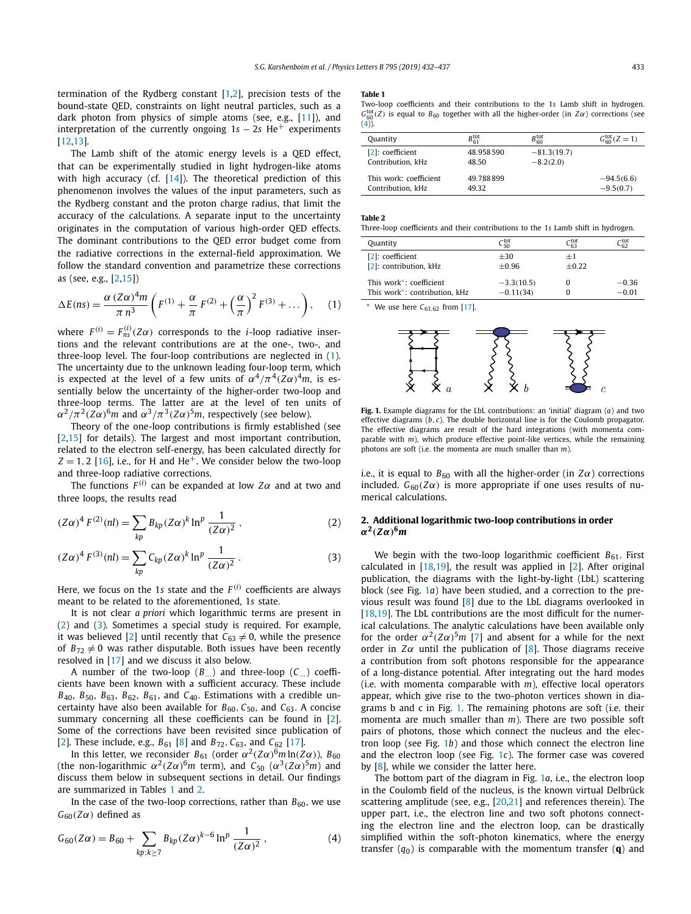<span id="page-1-0"></span>termination of the Rydberg constant [\[1,2\]](#page-4-0), precision tests of the bound-state QED, constraints on light neutral particles, such as a dark photon from physics of simple atoms (see, e.g., [\[11\]](#page-4-0)), and interpretation of the currently ongoing 1*s* − 2*s* He<sup>+</sup> experiments [\[12,13\]](#page-4-0).

The Lamb shift of the atomic energy levels is a QED effect, that can be experimentally studied in light hydrogen-like atoms with high accuracy (cf.  $[14]$ ). The theoretical prediction of this phenomenon involves the values of the input parameters, such as the Rydberg constant and the proton charge radius, that limit the accuracy of the calculations. A separate input to the uncertainty originates in the computation of various high-order QED effects. The dominant contributions to the QED error budget come from the radiative corrections in the external-field approximation. We follow the standard convention and parametrize these corrections as (see, e.g., [\[2,](#page-4-0)[15\]](#page-5-0))

$$
\Delta E(ns) = \frac{\alpha (Z\alpha)^4 m}{\pi n^3} \left( F^{(1)} + \frac{\alpha}{\pi} F^{(2)} + \left( \frac{\alpha}{\pi} \right)^2 F^{(3)} + \dots \right), \quad (1)
$$

where  $F^{(i)} = F^{(i)}_{ns}(Z\alpha)$  corresponds to the *i*-loop radiative insertions and the relevant contributions are at the one-, two-, and three-loop level. The four-loop contributions are neglected in (1). The uncertainty due to the unknown leading four-loop term, which is expected at the level of a few units of  $\alpha^4/\pi^4(Z\alpha)^4 m$ , is essentially below the uncertainty of the higher-order two-loop and three-loop terms. The latter are at the level of ten units of  $\alpha^2/\pi^2$  $(Z\alpha)^6$ *m* and  $\alpha^3/\pi^3$  $(Z\alpha)^5$ *m*, respectively (see below).

Theory of the one-loop contributions is firmly established (see [\[2,](#page-4-0)[15\]](#page-5-0) for details). The largest and most important contribution, related to the electron self-energy, has been calculated directly for  $Z = 1, 2$  [\[16\]](#page-5-0), i.e., for H and He<sup>+</sup>. We consider below the two-loop and three-loop radiative corrections.

The functions  $F^{(i)}$  can be expanded at low  $Z\alpha$  and at two and three loops, the results read

$$
(Z\alpha)^{4} F^{(2)}(nl) = \sum_{kp} B_{kp} (Z\alpha)^{k} \ln^{p} \frac{1}{(Z\alpha)^{2}},
$$
 (2)

$$
(Z\alpha)^{4} F^{(3)}(nl) = \sum_{kp} C_{kp} (Z\alpha)^{k} \ln^{p} \frac{1}{(Z\alpha)^{2}}.
$$
 (3)

Here, we focus on the 1*s* state and the  $F^{(i)}$  coefficients are always meant to be related to the aforementioned, 1*s* state.

It is not clear *a priori* which logarithmic terms are present in (2) and (3). Sometimes a special study is required. For example, it was believed [\[2\]](#page-4-0) until recently that  $C_{63} \neq 0$ , while the presence of  $B_{72} \neq 0$  was rather disputable. Both issues have been recently resolved in [\[17\]](#page-5-0) and we discuss it also below.

A number of the two-loop  $(B \cap A)$  and three-loop  $(C \cap A)$  coefficients have been known with a sufficient accuracy. These include *B*40, *B*50, *B*63, *B*62, *B*61, and *C*40. Estimations with a credible uncertainty have also been available for  $B_{60}$ ,  $C_{50}$ , and  $C_{63}$ . A concise summary concerning all these coefficients can be found in [\[2\]](#page-4-0). Some of the corrections have been revisited since publication of [\[2\]](#page-4-0). These include, e.g., *B*<sup>61</sup> [\[8\]](#page-4-0) and *B*72*, C*63, and *C*<sup>62</sup> [\[17\]](#page-5-0).

In this letter, we reconsider  $B_{61}$  (order  $\alpha^2(Z\alpha)^6 m \ln(Z\alpha)$ ),  $B_{60}$ (the non-logarithmic  $\alpha^2(Z\alpha)^6 m$  term), and  $C_{50}$  ( $\alpha^3(Z\alpha)^5 m$ ) and discuss them below in subsequent sections in detail. Our findings are summarized in Tables 1 and 2.

In the case of the two-loop corrections, rather than  $B_{60}$ , we use  $G_{60}(Z\alpha)$  defined as

$$
G_{60}(Z\alpha) = B_{60} + \sum_{kp;k \ge 7} B_{kp}(Z\alpha)^{k-6} \ln^p \frac{1}{(Z\alpha)^2},
$$
 (4)

#### **Table 1**

Two-loop coefficients and their contributions to the 1*s* Lamb shift in hydrogen.  $G_{60}^{\text{tot}}(Z)$  is equal to  $B_{60}$  together with all the higher-order (in  $Z\alpha$ ) corrections (see  $\binom{60}{4}$ .

| Quantity               | $B_{61}^{\rm tot}$ | $B_{60}^{\rm tot}$ | $G_{60}^{\text{tot}}(Z=1)$ |
|------------------------|--------------------|--------------------|----------------------------|
| [2]: coefficient       | 48.958.590         | $-81.3(19.7)$      |                            |
| Contribution, kHz      | 48.50              | $-8.2(2.0)$        |                            |
| This work: coefficient | 49.788899          |                    | $-94.5(6.6)$               |
| Contribution, kHz      | 49 32              |                    | $-9.5(0.7)$                |

#### **Table 2**

Three-loop coefficients and their contributions to the 1*s* Lamb shift in hydrogen.

| Quantity                             | $C_{50}^{\rm tot}$ | ርtot<br>ናገ | Ctot<br>ရော |
|--------------------------------------|--------------------|------------|-------------|
| [2]: coefficient                     | $+30$              | $+1$       |             |
| [2]: contribution, kHz               | $+0.96$            | $+0.22$    |             |
| This work <sup>*</sup> : coefficient | $-3.3(10.5)$       |            | $-0.36$     |
| This work*: contribution, kHz        | $-0.11(34)$        |            | $-0.01$     |

∗ We use here *C*63*,*<sup>62</sup> from [\[17\]](#page-5-0).



**Fig. 1.** Example diagrams for the LbL contributions: an 'initial' diagram (*a*) and two effective diagrams (*b, c*). The double horizontal line is for the Coulomb propagator. The effective diagrams are result of the hard integrations (with momenta comparable with *m*), which produce effective point-like vertices, while the remaining photons are soft (i.e. the momenta are much smaller than *m*).

i.e., it is equal to  $B_{60}$  with all the higher-order (in  $Z\alpha$ ) corrections included.  $G_{60}(Z\alpha)$  is more appropriate if one uses results of numerical calculations.

# **2. Additional logarithmic two-loop contributions in order** *α***<sup>2</sup>***(Zα)***<sup>6</sup>***m*

We begin with the two-loop logarithmic coefficient  $B_{61}$ . First calculated in  $[18,19]$ , the result was applied in  $[2]$ . After original publication, the diagrams with the light-by-light (LbL) scattering block (see Fig. 1*a*) have been studied, and a correction to the previous result was found [\[8\]](#page-4-0) due to the LbL diagrams overlooked in [\[18,19\]](#page-5-0). The LbL contributions are the most difficult for the numerical calculations. The analytic calculations have been available only for the order  $\alpha^2(Z\alpha)^5$ *m* [\[7\]](#page-4-0) and absent for a while for the next order in  $Z\alpha$  until the publication of [\[8\]](#page-4-0). Those diagrams receive a contribution from soft photons responsible for the appearance of a long-distance potential. After integrating out the hard modes (i.e. with momenta comparable with *m*), effective local operators appear, which give rise to the two-photon vertices shown in diagrams b and c in Fig. 1. The remaining photons are soft (i.e. their momenta are much smaller than *m*). There are two possible soft pairs of photons, those which connect the nucleus and the electron loop (see Fig. 1*b*) and those which connect the electron line and the electron loop (see Fig. 1*c*). The former case was covered by [\[8\]](#page-4-0), while we consider the latter here.

The bottom part of the diagram in Fig. 1*a*, i.e., the electron loop in the Coulomb field of the nucleus, is the known virtual Delbrück scattering amplitude (see, e.g., [\[20,21\]](#page-5-0) and references therein). The upper part, i.e., the electron line and two soft photons connecting the electron line and the electron loop, can be drastically simplified within the soft-photon kinematics, where the energy transfer  $(q_0)$  is comparable with the momentum transfer  $(q)$  and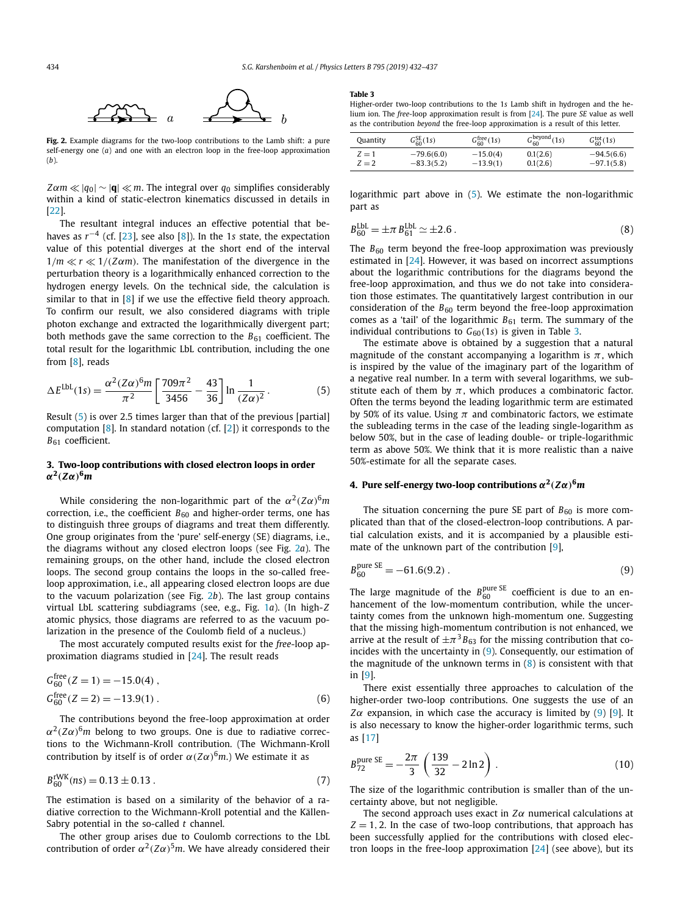<span id="page-2-0"></span>

**Fig. 2.** Example diagrams for the two-loop contributions to the Lamb shift: a pure self-energy one (*a*) and one with an electron loop in the free-loop approximation (*b*).

 $Z\alpha m \ll |q_0| \sim |\mathbf{q}| \ll m$ . The integral over  $q_0$  simplifies considerably within a kind of static-electron kinematics discussed in details in [\[22\]](#page-5-0).

The resultant integral induces an effective potential that behaves as *r*−<sup>4</sup> (cf. [\[23\]](#page-5-0), see also [\[8\]](#page-4-0)). In the 1*s* state, the expectation value of this potential diverges at the short end of the interval  $1/m \ll r \ll 1/(Z\alpha m)$ . The manifestation of the divergence in the perturbation theory is a logarithmically enhanced correction to the hydrogen energy levels. On the technical side, the calculation is similar to that in [\[8\]](#page-4-0) if we use the effective field theory approach. To confirm our result, we also considered diagrams with triple photon exchange and extracted the logarithmically divergent part; both methods gave the same correction to the  $B_{61}$  coefficient. The total result for the logarithmic LbL contribution, including the one from [\[8\]](#page-4-0), reads

$$
\Delta E^{\text{LbL}}(1s) = \frac{\alpha^2 (Z\alpha)^6 m}{\pi^2} \left[ \frac{709\pi^2}{3456} - \frac{43}{36} \right] \ln \frac{1}{(Z\alpha)^2} \,. \tag{5}
$$

Result (5) is over 2.5 times larger than that of the previous [partial] computation  $[8]$ . In standard notation (cf.  $[2]$ ) it corresponds to the *B*<sup>61</sup> coefficient.

# **3. Two-loop contributions with closed electron loops in order** *α***<sup>2</sup>***(Zα)***<sup>6</sup>***m*

While considering the non-logarithmic part of the  $\alpha^2 (Z\alpha)^6 m$ correction, i.e., the coefficient  $B_{60}$  and higher-order terms, one has to distinguish three groups of diagrams and treat them differently. One group originates from the 'pure' self-energy (SE) diagrams, i.e., the diagrams without any closed electron loops (see Fig. 2*a*). The remaining groups, on the other hand, include the closed electron loops. The second group contains the loops in the so-called freeloop approximation, i.e., all appearing closed electron loops are due to the vacuum polarization (see Fig. 2*b*). The last group contains virtual LbL scattering subdiagrams (see, e.g., Fig. [1](#page-1-0)*a*). (In high-*Z* atomic physics, those diagrams are referred to as the vacuum polarization in the presence of the Coulomb field of a nucleus.)

The most accurately computed results exist for the *free*-loop approximation diagrams studied in [\[24\]](#page-5-0). The result reads

$$
G_{60}^{\text{free}}(Z=1) = -15.0(4) ,
$$
  
\n
$$
G_{60}^{\text{free}}(Z=2) = -13.9(1) .
$$
 (6)

The contributions beyond the free-loop approximation at order  $\alpha^2$ ( $Z\alpha$ )<sup>6</sup>*m* belong to two groups. One is due to radiative corrections to the Wichmann-Kroll contribution. (The Wichmann-Kroll contribution by itself is of order  $\alpha(Z\alpha)^6$ *m*.) We estimate it as

$$
B_{60}^{\text{rWK}}(ns) = 0.13 \pm 0.13 \,. \tag{7}
$$

The estimation is based on a similarity of the behavior of a radiative correction to the Wichmann-Kroll potential and the Källen-Sabry potential in the so-called *t* channel.

The other group arises due to Coulomb corrections to the LbL contribution of order  $\alpha^2(Z\alpha)^5$ *m*. We have already considered their

#### **Table 3**

Higher-order two-loop contributions to the 1*s* Lamb shift in hydrogen and the helium ion. The *free*-loop approximation result is from [\[24\]](#page-5-0). The pure *SE* value as well as the contribution *beyond* the free-loop approximation is a result of this letter.

| Quantity | $G_{60}^{SE}(1s)$ | $G_{60}^{\text{tree}}(1s)$ | $G_{60}^{beyond}(1s)$ | $G_{60}^{tot}(1s)$ |
|----------|-------------------|----------------------------|-----------------------|--------------------|
| $Z=1$    | $-79.6(6.0)$      | $-15.0(4)$                 | 0.1(2.6)              | $-94.5(6.6)$       |
| $Z = 2$  | $-83.3(5.2)$      | $-13.9(1)$                 | 0.1(2.6)              | $-97.1(5.8)$       |

logarithmic part above in (5). We estimate the non-logarithmic part as

$$
B_{60}^{\text{LbL}} = \pm \pi \, B_{61}^{\text{LbL}} \simeq \pm 2.6 \,. \tag{8}
$$

The  $B_{60}$  term beyond the free-loop approximation was previously estimated in [\[24\]](#page-5-0). However, it was based on incorrect assumptions about the logarithmic contributions for the diagrams beyond the free-loop approximation, and thus we do not take into consideration those estimates. The quantitatively largest contribution in our consideration of the  $B_{60}$  term beyond the free-loop approximation comes as a 'tail' of the logarithmic  $B_{61}$  term. The summary of the individual contributions to  $G_{60}(1s)$  is given in Table 3.

The estimate above is obtained by a suggestion that a natural magnitude of the constant accompanying a logarithm is  $\pi$ , which is inspired by the value of the imaginary part of the logarithm of a negative real number. In a term with several logarithms, we substitute each of them by  $\pi$ , which produces a combinatoric factor. Often the terms beyond the leading logarithmic term are estimated by 50% of its value. Using *π* and combinatoric factors, we estimate the subleading terms in the case of the leading single-logarithm as below 50%, but in the case of leading double- or triple-logarithmic term as above 50%. We think that it is more realistic than a naive 50%-estimate for all the separate cases.

### **4. Pure self-energy two-loop contributions** *α***<sup>2</sup>***(Zα)***<sup>6</sup>***m*

The situation concerning the pure SE part of  $B_{60}$  is more complicated than that of the closed-electron-loop contributions. A partial calculation exists, and it is accompanied by a plausible estimate of the unknown part of the contribution [\[9\]](#page-4-0),

$$
B_{60}^{\text{pure SE}} = -61.6(9.2) \,. \tag{9}
$$

The large magnitude of the  $B_{60}^{\text{pure SE}}$  coefficient is due to an enhancement of the low-momentum contribution, while the uncertainty comes from the unknown high-momentum one. Suggesting that the missing high-momentum contribution is not enhanced, we arrive at the result of  $\pm \pi^3 B_{63}$  for the missing contribution that coincides with the uncertainty in (9). Consequently, our estimation of the magnitude of the unknown terms in  $(8)$  is consistent with that in [\[9\]](#page-4-0).

There exist essentially three approaches to calculation of the higher-order two-loop contributions. One suggests the use of an *Z* $α$  expansion, in which case the accuracy is limited by (9) [\[9\]](#page-4-0). It is also necessary to know the higher-order logarithmic terms, such as [\[17\]](#page-5-0)

$$
B_{72}^{\text{pure SE}} = -\frac{2\pi}{3} \left( \frac{139}{32} - 2\ln 2 \right). \tag{10}
$$

The size of the logarithmic contribution is smaller than of the uncertainty above, but not negligible.

The second approach uses exact in *Zα* numerical calculations at  $Z = 1, 2$ . In the case of two-loop contributions, that approach has been successfully applied for the contributions with closed electron loops in the free-loop approximation  $[24]$  (see above), but its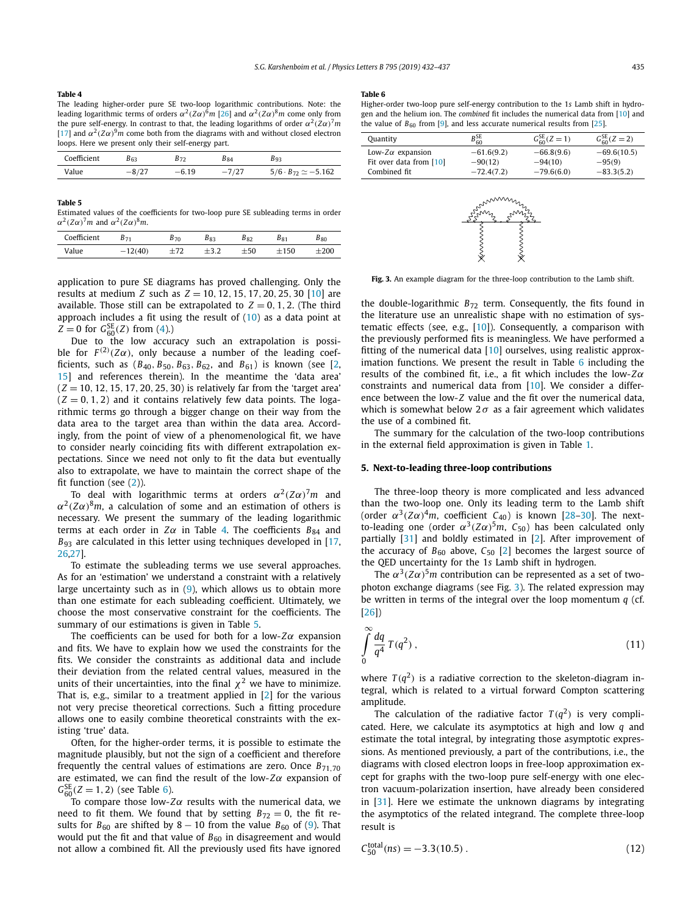#### **Table 4**

The leading higher-order pure SE two-loop logarithmic contributions. Note: the leading logarithmic terms of orders  $\alpha^2$  ( $Z\alpha$ )<sup>6</sup>*m* [\[26\]](#page-5-0) and  $\alpha^2$  ( $Z\alpha$ )<sup>8</sup>*m* come only from the pure self-energy. In contrast to that, the leading logarithms of order  $\alpha^2(Z\alpha)^7m$ [\[17\]](#page-5-0) and  $\alpha^2(Z\alpha)^9m$  come both from the diagrams with and without closed electron loops. Here we present only their self-energy part.

| Coefficient | $B_{63}$ | <b>B72</b> | <b>B</b> <sub>84</sub> |                                  |
|-------------|----------|------------|------------------------|----------------------------------|
| Value       |          | $-6.19$    |                        | $5/6 \cdot B_{72} \simeq -5.162$ |

#### **Table 5**

Estimated values of the coefficients for two-loop pure SE subleading terms in order *α*<sup>2</sup>*(Zα)*<sup>7</sup>*m* and *α*<sup>2</sup>*(Zα)*<sup>8</sup>*m*.

| Coefficient | $B_{71}$ | 570 | 83 | B 82 | $_{B81}$ | $B_{80}$ |
|-------------|----------|-----|----|------|----------|----------|
| Value       | 12(40)   |     |    | -50  | 150      |          |

application to pure SE diagrams has proved challenging. Only the results at medium *Z* such as *Z* = 10*,* 12*,* 15*,* 17*,* 20*,* 25*,* 30 [\[10\]](#page-4-0) are available. Those still can be extrapolated to  $Z = 0, 1, 2$ . (The third approach includes a fit using the result of [\(10\)](#page-2-0) as a data point at  $Z = 0$  for  $G_{60}^{SE}(Z)$  from [\(4\)](#page-1-0).)

Due to the low accuracy such an extrapolation is possible for  $F^{(2)}(Z\alpha)$ , only because a number of the leading coefficients, such as  $(B_{40}, B_{50}, B_{63}, B_{62},$  and  $B_{61})$  is known (see [\[2,](#page-4-0) [15\]](#page-5-0) and references therein). In the meantime the 'data area'  $(Z = 10, 12, 15, 17, 20, 25, 30)$  is relatively far from the 'target area'  $(Z = 0, 1, 2)$  and it contains relatively few data points. The logarithmic terms go through a bigger change on their way from the data area to the target area than within the data area. Accordingly, from the point of view of a phenomenological fit, we have to consider nearly coinciding fits with different extrapolation expectations. Since we need not only to fit the data but eventually also to extrapolate, we have to maintain the correct shape of the fit function (see [\(2\)](#page-1-0)).

To deal with logarithmic terms at orders  $\alpha^2 (Z\alpha)^7 m$  and  $\alpha^2$ (*Z* $\alpha$ )<sup>8</sup>*m*, a calculation of some and an estimation of others is necessary. We present the summary of the leading logarithmic terms at each order in  $Z\alpha$  in Table 4. The coefficients  $B_{84}$  and *B*<sub>93</sub> are calculated in this letter using techniques developed in [\[17,](#page-5-0) [26,27\]](#page-5-0).

To estimate the subleading terms we use several approaches. As for an 'estimation' we understand a constraint with a relatively large uncertainty such as in  $(9)$ , which allows us to obtain more than one estimate for each subleading coefficient. Ultimately, we choose the most conservative constraint for the coefficients. The summary of our estimations is given in Table 5.

The coefficients can be used for both for a low-*Zα* expansion and fits. We have to explain how we used the constraints for the fits. We consider the constraints as additional data and include their deviation from the related central values, measured in the units of their uncertainties, into the final  $\chi^2$  we have to minimize. That is, e.g., similar to a treatment applied in [\[2\]](#page-4-0) for the various not very precise theoretical corrections. Such a fitting procedure allows one to easily combine theoretical constraints with the existing 'true' data.

Often, for the higher-order terms, it is possible to estimate the magnitude plausibly, but not the sign of a coefficient and therefore frequently the central values of estimations are zero. Once  $B_{71,70}$ are estimated, we can find the result of the low-*Zα* expansion of  $G_{60}^{SE}(Z = 1, 2)$  (see Table 6).

To compare those low-*Zα* results with the numerical data, we need to fit them. We found that by setting  $B_{72} = 0$ , the fit results for  $B_{60}$  are shifted by 8 − 10 from the value  $B_{60}$  of [\(9\)](#page-2-0). That would put the fit and that value of  $B_{60}$  in disagreement and would not allow a combined fit. All the previously used fits have ignored

#### **Table 6**

| Higher-order two-loop pure self-energy contribution to the 1s Lamb shift in hydro- |
|------------------------------------------------------------------------------------|
| gen and the helium ion. The combined fit includes the numerical data from [10] and |
| the value of $B_{60}$ from [9], and less accurate numerical results from [25].     |

| Quantity                 | $B_{60}$     | $G_{60}^{SE}(Z=1)$ | $G_{60}^{SE}(Z=2)$ |
|--------------------------|--------------|--------------------|--------------------|
| Low-Z $\alpha$ expansion | $-61.6(9.2)$ | $-66.8(9.6)$       | $-69.6(10.5)$      |
| Fit over data from [10]  | $-90(12)$    | $-94(10)$          | $-95(9)$           |
| Combined fit             | $-72.4(7.2)$ | $-79.6(6.0)$       | $-83.3(5.2)$       |



**Fig. 3.** An example diagram for the three-loop contribution to the Lamb shift.

the double-logarithmic  $B_{72}$  term. Consequently, the fits found in the literature use an unrealistic shape with no estimation of systematic effects (see, e.g., [\[10\]](#page-4-0)). Consequently, a comparison with the previously performed fits is meaningless. We have performed a fitting of the numerical data [\[10\]](#page-4-0) ourselves, using realistic approximation functions. We present the result in Table 6 including the results of the combined fit, i.e., a fit which includes the low-*Zα* constraints and numerical data from [\[10\]](#page-4-0). We consider a difference between the low-*Z* value and the fit over the numerical data, which is somewhat below  $2\sigma$  as a fair agreement which validates the use of a combined fit.

The summary for the calculation of the two-loop contributions in the external field approximation is given in Table [1.](#page-1-0)

# **5. Next-to-leading three-loop contributions**

The three-loop theory is more complicated and less advanced than the two-loop one. Only its leading term to the Lamb shift (order  $\alpha^3 (Z\alpha)^4 m$ , coefficient  $C_{40}$ ) is known [\[28–30\]](#page-5-0). The nextto-leading one (order  $\alpha^3$  $(Z\alpha)^5$ *m*,  $C_{50}$ ) has been calculated only partially [\[31\]](#page-5-0) and boldly estimated in [\[2\]](#page-4-0). After improvement of the accuracy of  $B_{60}$  above,  $C_{50}$  [\[2\]](#page-4-0) becomes the largest source of the QED uncertainty for the 1*s* Lamb shift in hydrogen.

The  $\alpha^3 (Z\alpha)^5$ *m* contribution can be represented as a set of twophoton exchange diagrams (see Fig. 3). The related expression may be written in terms of the integral over the loop momentum *q* (cf. [\[26\]](#page-5-0))

$$
\int_{0}^{\infty} \frac{dq}{q^4} T(q^2) , \qquad (11)
$$

where  $T(q^2)$  is a radiative correction to the skeleton-diagram integral, which is related to a virtual forward Compton scattering amplitude.

The calculation of the radiative factor  $T(q^2)$  is very complicated. Here, we calculate its asymptotics at high and low *q* and estimate the total integral, by integrating those asymptotic expressions. As mentioned previously, a part of the contributions, i.e., the diagrams with closed electron loops in free-loop approximation except for graphs with the two-loop pure self-energy with one electron vacuum-polarization insertion, have already been considered in [\[31\]](#page-5-0). Here we estimate the unknown diagrams by integrating the asymptotics of the related integrand. The complete three-loop result is

$$
C_{50}^{\text{total}}(ns) = -3.3(10.5) \,. \tag{12}
$$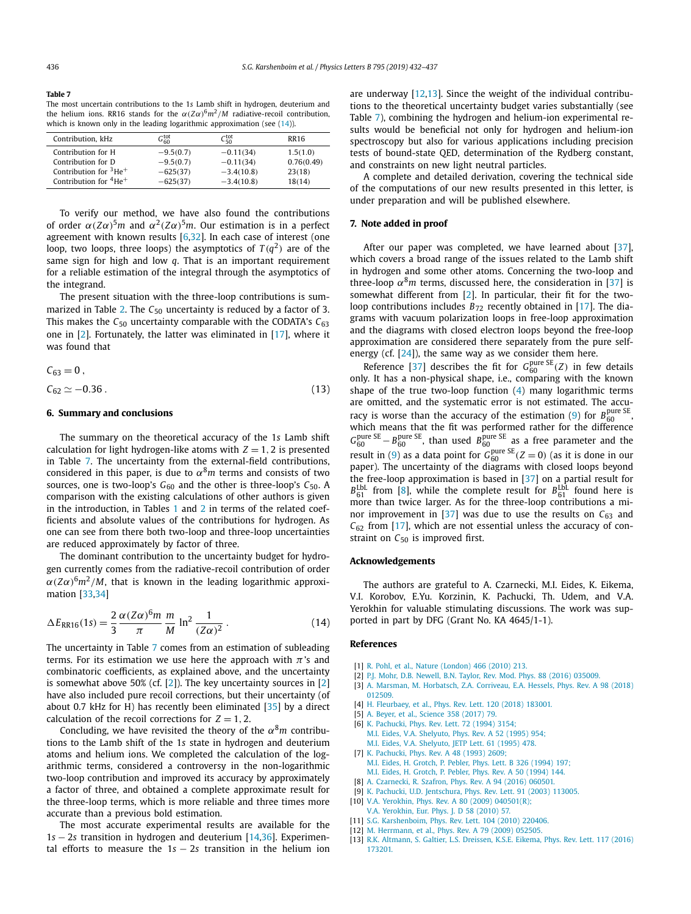<span id="page-4-0"></span>**Table 7** The most uncertain contributions to the 1*s* Lamb shift in hydrogen, deuterium and the helium ions. RR16 stands for the  $α(Zα)^6m^2/M$  radiative-recoil contribution, which is known only in the leading logarithmic approximation (see  $(14)$ ).

| Contribution, kHz                         | $G_{60}^{\rm tot}$ | $C_{50}^{\text{tot}}$ | <b>RR16</b> |
|-------------------------------------------|--------------------|-----------------------|-------------|
| Contribution for H                        | $-9.5(0.7)$        | $-0.11(34)$           | 1.5(1.0)    |
| Contribution for D                        | $-9.5(0.7)$        | $-0.11(34)$           | 0.76(0.49)  |
| Contribution for $3He+$                   | $-625(37)$         | $-3.4(10.8)$          | 23(18)      |
| Contribution for ${}^{4}$ He <sup>+</sup> | $-625(37)$         | $-3.4(10.8)$          | 18(14)      |

To verify our method, we have also found the contributions of order  $\alpha(Z\alpha)^5$ *m* and  $\alpha^2(Z\alpha)^5$ *m*. Our estimation is in a perfect agreement with known results  $[6,32]$  $[6,32]$ . In each case of interest (one loop, two loops, three loops) the asymptotics of  $T(q^2)$  are of the same sign for high and low *q*. That is an important requirement for a reliable estimation of the integral through the asymptotics of the integrand.

The present situation with the three-loop contributions is sum-marized in Table [2.](#page-1-0) The C<sub>50</sub> uncertainty is reduced by a factor of 3. This makes the  $C_{50}$  uncertainty comparable with the CODATA's  $C_{63}$ one in [2]. Fortunately, the latter was eliminated in [\[17\]](#page-5-0), where it was found that

$$
C_{63} = 0, C_{62} \simeq -0.36.
$$
 (13)

### **6. Summary and conclusions**

The summary on the theoretical accuracy of the 1*s* Lamb shift calculation for light hydrogen-like atoms with  $Z = 1, 2$  is presented in Table 7. The uncertainty from the external-field contributions, considered in this paper, is due to  $\alpha^8 m$  terms and consists of two sources, one is two-loop's  $G_{60}$  and the other is three-loop's  $C_{50}$ . A comparison with the existing calculations of other authors is given in the introduction, in Tables [1](#page-1-0) and [2](#page-1-0) in terms of the related coefficients and absolute values of the contributions for hydrogen. As one can see from there both two-loop and three-loop uncertainties are reduced approximately by factor of three.

The dominant contribution to the uncertainty budget for hydrogen currently comes from the radiative-recoil contribution of order  $\alpha(Z\alpha)^6 m^2/M$ , that is known in the leading logarithmic approximation [\[33,34\]](#page-5-0)

$$
\Delta E_{RR16}(1s) = \frac{2}{3} \frac{\alpha (Z\alpha)^6 m}{\pi} \frac{m}{M} \ln^2 \frac{1}{(Z\alpha)^2} \,. \tag{14}
$$

The uncertainty in Table 7 comes from an estimation of subleading terms. For its estimation we use here the approach with  $\pi$ 's and combinatoric coefficients, as explained above, and the uncertainty is somewhat above 50% (cf.  $[2]$ ). The key uncertainty sources in  $[2]$ have also included pure recoil corrections, but their uncertainty (of about 0.7 kHz for H) has recently been eliminated [\[35\]](#page-5-0) by a direct calculation of the recoil corrections for  $Z = 1, 2$ .

Concluding, we have revisited the theory of the  $\alpha^8 m$  contributions to the Lamb shift of the 1*s* state in hydrogen and deuterium atoms and helium ions. We completed the calculation of the logarithmic terms, considered a controversy in the non-logarithmic two-loop contribution and improved its accuracy by approximately a factor of three, and obtained a complete approximate result for the three-loop terms, which is more reliable and three times more accurate than a previous bold estimation.

The most accurate experimental results are available for the 1*s* − 2*s* transition in hydrogen and deuterium [\[14,36\]](#page-5-0). Experimental efforts to measure the 1*s* − 2*s* transition in the helium ion are underway [12,13]. Since the weight of the individual contributions to the theoretical uncertainty budget varies substantially (see Table 7), combining the hydrogen and helium-ion experimental results would be beneficial not only for hydrogen and helium-ion spectroscopy but also for various applications including precision tests of bound-state QED, determination of the Rydberg constant, and constraints on new light neutral particles.

A complete and detailed derivation, covering the technical side of the computations of our new results presented in this letter, is under preparation and will be published elsewhere.

# **7. Note added in proof**

After our paper was completed, we have learned about [\[37\]](#page-5-0), which covers a broad range of the issues related to the Lamb shift in hydrogen and some other atoms. Concerning the two-loop and three-loop  $\alpha^8 m$  terms, discussed here, the consideration in [\[37\]](#page-5-0) is somewhat different from [2]. In particular, their fit for the twoloop contributions includes  $B_{72}$  recently obtained in [\[17\]](#page-5-0). The diagrams with vacuum polarization loops in free-loop approximation and the diagrams with closed electron loops beyond the free-loop approximation are considered there separately from the pure selfenergy (cf.  $[24]$ ), the same way as we consider them here.

Reference [\[37\]](#page-5-0) describes the fit for  $G_{60}^{\text{pure SE}}(Z)$  in few details only. It has a non-physical shape, i.e., comparing with the known shape of the true two-loop function [\(4\)](#page-1-0) many logarithmic terms are omitted, and the systematic error is not estimated. The accu-racy is worse than the accuracy of the estimation [\(9\)](#page-2-0) for  $B_{60}^{\text{pure SE}}$ , which means that the fit was performed rather for the difference  $G_{60}^{\text{pure SE}} - B_{60}^{\text{pure SE}}$ , than used  $B_{60}^{\text{pure SE}}$  as a free parameter and the result in [\(9\)](#page-2-0) as a data point for  $G_{60}^{\text{pure SE}}$  ( $Z = 0$ ) (as it is done in our paper). The uncertainty of the diagrams with closed loops beyond the free-loop approximation is based in [\[37\]](#page-5-0) on a partial result for  $B_{61}^{\text{LbL}}$  from [8], while the complete result for  $B_{61}^{\text{LbL}}$  found here is more than twice larger. As for the three-loop contributions a mi-nor improvement in [\[37\]](#page-5-0) was due to use the results on  $C_{63}$  and  $C_{62}$  from [\[17\]](#page-5-0), which are not essential unless the accuracy of constraint on C<sub>50</sub> is improved first.

#### **Acknowledgements**

The authors are grateful to A. Czarnecki, M.I. Eides, K. Eikema, V.I. Korobov, E.Yu. Korzinin, K. Pachucki, Th. Udem, and V.A. Yerokhin for valuable stimulating discussions. The work was supported in part by DFG (Grant No. KA 4645/1-1).

### **References**

- [1] R. Pohl, et al., Nature [\(London\)](http://refhub.elsevier.com/S0370-2693(19)30401-0/bib6D756831s1) 466 (2010) 213.
- [2] P.J. Mohr, D.B. Newell, B.N. Taylor, Rev. Mod. Phys. 88 (2016) [035009.](http://refhub.elsevier.com/S0370-2693(19)30401-0/bib636F6461746132303134s1)
- [3] A. Marsman, M. [Horbatsch,](http://refhub.elsevier.com/S0370-2693(19)30401-0/bib68657373656C3A6C70s1) Z.A. Corriveau, E.A. Hessels, Phys. Rev. A 98 (2018) [012509.](http://refhub.elsevier.com/S0370-2693(19)30401-0/bib68657373656C3A6C70s1)
- [4] H. [Fleurbaey,](http://refhub.elsevier.com/S0370-2693(19)30401-0/bib6C6B6231733373s1) et al., Phys. Rev. Lett. 120 (2018) 183001.
- [5] A. Beyer, et al., [Science](http://refhub.elsevier.com/S0370-2693(19)30401-0/bib6D707132733470s1) 358 (2017) 79.
- [6] K. [Pachucki,](http://refhub.elsevier.com/S0370-2693(19)30401-0/bib6235307365s1) Phys. Rev. Lett. 72 (1994) 3154;
- M.I. Eides, V.A. [Shelyuto,](http://refhub.elsevier.com/S0370-2693(19)30401-0/bib6235307365s2) Phys. Rev. A 52 (1995) 954;
	- M.I. Eides, V.A. [Shelyuto,](http://refhub.elsevier.com/S0370-2693(19)30401-0/bib6235307365s3) JETP Lett. 61 (1995) 478.
- [7] K. [Pachucki,](http://refhub.elsevier.com/S0370-2693(19)30401-0/bib4C624C31s1) Phys. Rev. A 48 (1993) 2609;
- M.I. Eides, H. [Grotch,](http://refhub.elsevier.com/S0370-2693(19)30401-0/bib4C624C31s2) P. Pebler, Phys. Lett. B 326 (1994) 197; M.I. Eides, H. [Grotch,](http://refhub.elsevier.com/S0370-2693(19)30401-0/bib4C624C31s3) P. Pebler, Phys. Rev. A 50 (1994) 144. [8] A. [Czarnecki,](http://refhub.elsevier.com/S0370-2693(19)30401-0/bib4C624C3A4353s1) R. Szafron, Phys. Rev. A 94 (2016) 060501.
- 
- [9] K. Pachucki, U.D. [Jentschura,](http://refhub.elsevier.com/S0370-2693(19)30401-0/bib6A656E7473637572613173s1) Phys. Rev. Lett. 91 (2003) 113005.
- [10] V.A. Yerokhin, Phys. Rev. A 80 (2009) [040501\(R\);](http://refhub.elsevier.com/S0370-2693(19)30401-0/bib7965726F6B68696E3039s1)
- V.A. [Yerokhin,](http://refhub.elsevier.com/S0370-2693(19)30401-0/bib7965726F6B68696E3039s2) Eur. Phys. J. D 58 (2010) 57. [11] S.G. [Karshenboim,](http://refhub.elsevier.com/S0370-2693(19)30401-0/bib636F6E73747261696E74s1) Phys. Rev. Lett. 104 (2010) 220406.
- [12] M. [Herrmann,](http://refhub.elsevier.com/S0370-2693(19)30401-0/bib68655F696F6E31s1) et al., Phys. Rev. A 79 (2009) 052505.
- 
- [13] R.K. [Altmann,](http://refhub.elsevier.com/S0370-2693(19)30401-0/bib68655F696F6E32s1) S. Galtier, L.S. Dreissen, K.S.E. Eikema, Phys. Rev. Lett. 117 (2016) [173201.](http://refhub.elsevier.com/S0370-2693(19)30401-0/bib68655F696F6E32s1)